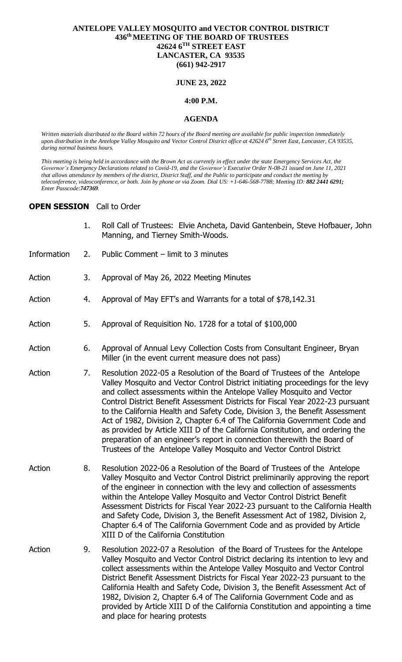# **ANTELOPE VALLEY MOSQUITO and VECTOR CONTROL DISTRICT 436 thMEETING OF THE BOARD OF TRUSTEES 42624 6TH STREET EAST LANCASTER, CA 93535 (661) 942-2917**

### **JUNE 23, 2022**

### **4:00 P.M.**

#### **AGENDA**

*Written materials distributed to the Board within 72 hours of the Board meeting are available for public inspection immediately upon distribution in the Antelope Valley Mosquito and Vector Control District office at 42624 6th Street East, Lancaster, CA 93535, during normal business hours.*

*This meeting is being held in accordance with the Brown Act as currently in effect under the state Emergency Services Act, the Governor's Emergency Declarations related to Covid-19, and the Governor's Executive Order N-08-21 issued on June 11, 2021 that allows attendance by members of the district, District Staff, and the Public to participate and conduct the meeting by teleconference, videoconference, or both. Join by phone or via Zoom. Dial US: +1-646-568-7788; Meeting ID: 882 2441 6291; Enter Passcode:747369.*

# **OPEN SESSION** Call to Order

- 1. Roll Call of Trustees: Elvie Ancheta, David Gantenbein, Steve Hofbauer, John Manning, and Tierney Smith-Woods.
- Information 2. Public Comment limit to 3 minutes
- Action 3. Approval of May 26, 2022 Meeting Minutes
- Action 4. Approval of May EFT's and Warrants for a total of \$78,142.31
- Action 5. Approval of Requisition No. 1728 for a total of \$100,000
- Action 6. Approval of Annual Levy Collection Costs from Consultant Engineer, Bryan Miller (in the event current measure does not pass)
- Action 7. Resolution 2022-05 a Resolution of the Board of Trustees of the Antelope Valley Mosquito and Vector Control District initiating proceedings for the levy and collect assessments within the Antelope Valley Mosquito and Vector Control District Benefit Assessment Districts for Fiscal Year 2022-23 pursuant to the California Health and Safety Code, Division 3, the Benefit Assessment Act of 1982, Division 2, Chapter 6.4 of The California Government Code and as provided by Article XIII D of the California Constitution, and ordering the preparation of an engineer's report in connection therewith the Board of Trustees of the Antelope Valley Mosquito and Vector Control District
- Action 8. Resolution 2022-06 a Resolution of the Board of Trustees of the Antelope Valley Mosquito and Vector Control District preliminarily approving the report of the engineer in connection with the levy and collection of assessments within the Antelope Valley Mosquito and Vector Control District Benefit Assessment Districts for Fiscal Year 2022-23 pursuant to the California Health and Safety Code, Division 3, the Benefit Assessment Act of 1982, Division 2, Chapter 6.4 of The California Government Code and as provided by Article XIII D of the California Constitution
- Action 9. Resolution 2022-07 a Resolution of the Board of Trustees for the Antelope Valley Mosquito and Vector Control District declaring its intention to levy and collect assessments within the Antelope Valley Mosquito and Vector Control District Benefit Assessment Districts for Fiscal Year 2022-23 pursuant to the California Health and Safety Code, Division 3, the Benefit Assessment Act of 1982, Division 2, Chapter 6.4 of The California Government Code and as provided by Article XIII D of the California Constitution and appointing a time and place for hearing protests